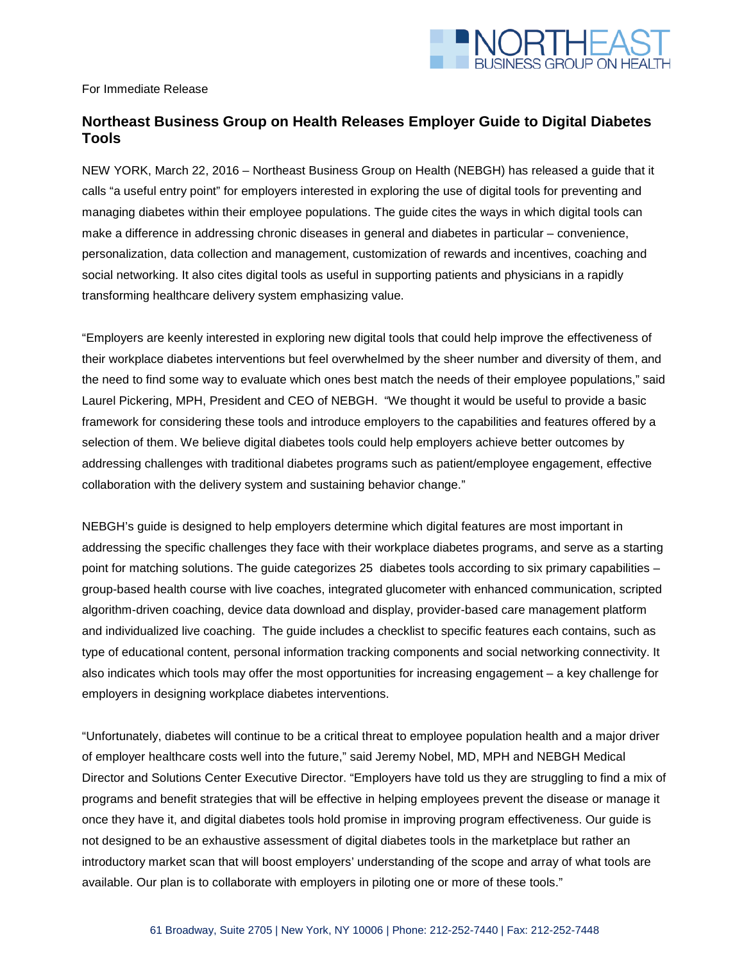

For Immediate Release

## **Northeast Business Group on Health Releases Employer Guide to Digital Diabetes Tools**

NEW YORK, March 22, 2016 – Northeast Business Group on Health (NEBGH) has released a guide that it calls "a useful entry point" for employers interested in exploring the use of digital tools for preventing and managing diabetes within their employee populations. The guide cites the ways in which digital tools can make a difference in addressing chronic diseases in general and diabetes in particular – convenience, personalization, data collection and management, customization of rewards and incentives, coaching and social networking. It also cites digital tools as useful in supporting patients and physicians in a rapidly transforming healthcare delivery system emphasizing value.

"Employers are keenly interested in exploring new digital tools that could help improve the effectiveness of their workplace diabetes interventions but feel overwhelmed by the sheer number and diversity of them, and the need to find some way to evaluate which ones best match the needs of their employee populations," said Laurel Pickering, MPH, President and CEO of NEBGH. "We thought it would be useful to provide a basic framework for considering these tools and introduce employers to the capabilities and features offered by a selection of them. We believe digital diabetes tools could help employers achieve better outcomes by addressing challenges with traditional diabetes programs such as patient/employee engagement, effective collaboration with the delivery system and sustaining behavior change."

NEBGH's guide is designed to help employers determine which digital features are most important in addressing the specific challenges they face with their workplace diabetes programs, and serve as a starting point for matching solutions. The guide categorizes 25 diabetes tools according to six primary capabilities – group-based health course with live coaches, integrated glucometer with enhanced communication, scripted algorithm-driven coaching, device data download and display, provider-based care management platform and individualized live coaching. The guide includes a checklist to specific features each contains, such as type of educational content, personal information tracking components and social networking connectivity. It also indicates which tools may offer the most opportunities for increasing engagement – a key challenge for employers in designing workplace diabetes interventions.

"Unfortunately, diabetes will continue to be a critical threat to employee population health and a major driver of employer healthcare costs well into the future," said Jeremy Nobel, MD, MPH and NEBGH Medical Director and Solutions Center Executive Director. "Employers have told us they are struggling to find a mix of programs and benefit strategies that will be effective in helping employees prevent the disease or manage it once they have it, and digital diabetes tools hold promise in improving program effectiveness. Our guide is not designed to be an exhaustive assessment of digital diabetes tools in the marketplace but rather an introductory market scan that will boost employers' understanding of the scope and array of what tools are available. Our plan is to collaborate with employers in piloting one or more of these tools."